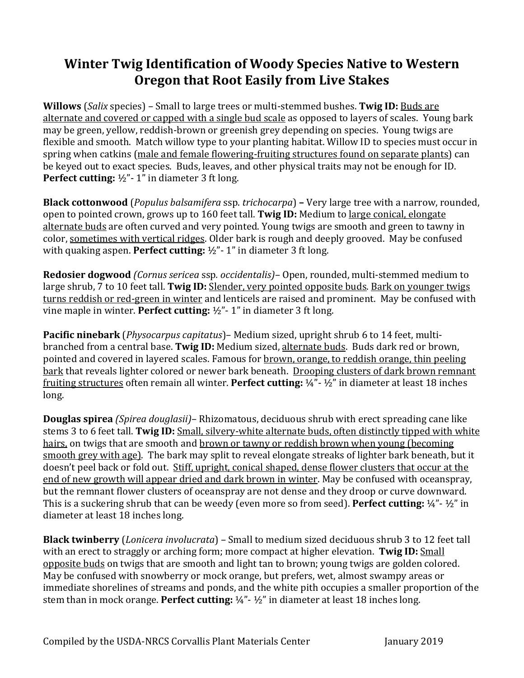## **Winter Twig Identification of Woody Species Native to Western Oregon that Root Easily from Live Stakes**

**Willows** (*Salix* species) – Small to large trees or multi-stemmed bushes. **Twig ID:** Buds are alternate and covered or capped with a single bud scale as opposed to layers of scales. Young bark may be green, yellow, reddish-brown or greenish grey depending on species. Young twigs are flexible and smooth. Match willow type to your planting habitat. Willow ID to species must occur in spring when catkins (male and female flowering-fruiting structures found on separate plants) can be keyed out to exact species. Buds, leaves, and other physical traits may not be enough for ID. **Perfect cutting:** ½"- 1" in diameter 3 ft long.

**Black cottonwood** (*Populus balsamifera* ssp. *trichocarpa*) **–** Very large tree with a narrow, rounded, open to pointed crown, grows up to 160 feet tall. **Twig ID:** Medium to large conical, elongate alternate buds are often curved and very pointed. Young twigs are smooth and green to tawny in color, sometimes with vertical ridges. Older bark is rough and deeply grooved. May be confused with quaking aspen. **Perfect cutting:** ½"- 1" in diameter 3 ft long.

**Redosier dogwood** *(Cornus sericea* ssp*. occidentalis)–* Open, rounded, multi-stemmed medium to large shrub, 7 to 10 feet tall. **Twig ID:** Slender, very pointed opposite buds. Bark on younger twigs turns reddish or red-green in winter and lenticels are raised and prominent. May be confused with vine maple in winter. **Perfect cutting:** ½"- 1" in diameter 3 ft long.

**Pacific ninebark** (*Physocarpus capitatus*)– Medium sized, upright shrub 6 to 14 feet, multibranched from a central base. **Twig ID:** Medium sized, alternate buds. Buds dark red or brown, pointed and covered in layered scales. Famous for brown, orange, to reddish orange, thin peeling bark that reveals lighter colored or newer bark beneath. Drooping clusters of dark brown remnant fruiting structures often remain all winter. **Perfect cutting:** ¼"- ½" in diameter at least 18 inches long.

**Douglas spirea** *(Spirea douglasii)*– Rhizomatous, deciduous shrub with erect spreading cane like stems 3 to 6 feet tall. **Twig ID:** Small, silvery-white alternate buds, often distinctly tipped with white hairs, on twigs that are smooth and brown or tawny or reddish brown when young (becoming smooth grey with age). The bark may split to reveal elongate streaks of lighter bark beneath, but it doesn't peel back or fold out. Stiff, upright, conical shaped, dense flower clusters that occur at the end of new growth will appear dried and dark brown in winter. May be confused with oceanspray, but the remnant flower clusters of oceanspray are not dense and they droop or curve downward. This is a suckering shrub that can be weedy (even more so from seed). **Perfect cutting:** ¼"- ½" in diameter at least 18 inches long.

**Black twinberry** (*Lonicera involucrata*) – Small to medium sized deciduous shrub 3 to 12 feet tall with an erect to straggly or arching form; more compact at higher elevation. **Twig ID:** Small opposite buds on twigs that are smooth and light tan to brown; young twigs are golden colored. May be confused with snowberry or mock orange, but prefers, wet, almost swampy areas or immediate shorelines of streams and ponds, and the white pith occupies a smaller proportion of the stem than in mock orange. **Perfect cutting:** ¼"- ½" in diameter at least 18 inches long.